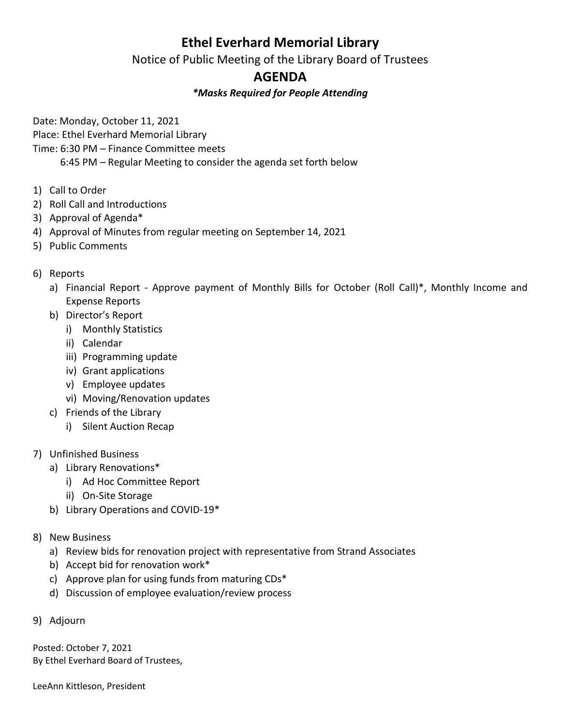## **Ethel Everhard Memorial Library**

Notice of Public Meeting of the Library Board of Trustees

## **AGENDA**

## *\*Masks Required for People Attending*

Date: Monday, October 11, 2021

Place: Ethel Everhard Memorial Library

Time: 6:30 PM – Finance Committee meets

6:45 PM – Regular Meeting to consider the agenda set forth below

- 1) Call to Order
- 2) Roll Call and Introductions
- 3) Approval of Agenda\*
- 4) Approval of Minutes from regular meeting on September 14, 2021
- 5) Public Comments

## 6) Reports

- a) Financial Report Approve payment of Monthly Bills for October (Roll Call)\*, Monthly Income and Expense Reports
- b) Director's Report
	- i) Monthly Statistics
	- ii) Calendar
	- iii) Programming update
	- iv) Grant applications
	- v) Employee updates
	- vi) Moving/Renovation updates
- c) Friends of the Library
	- i) Silent Auction Recap
- 7) Unfinished Business
	- a) Library Renovations\*
		- i) Ad Hoc Committee Report
		- ii) On-Site Storage
	- b) Library Operations and COVID-19\*
- 8) New Business
	- a) Review bids for renovation project with representative from Strand Associates
	- b) Accept bid for renovation work\*
	- c) Approve plan for using funds from maturing CDs\*
	- d) Discussion of employee evaluation/review process
- 9) Adjourn

Posted: October 7, 2021 By Ethel Everhard Board of Trustees,

LeeAnn Kittleson, President